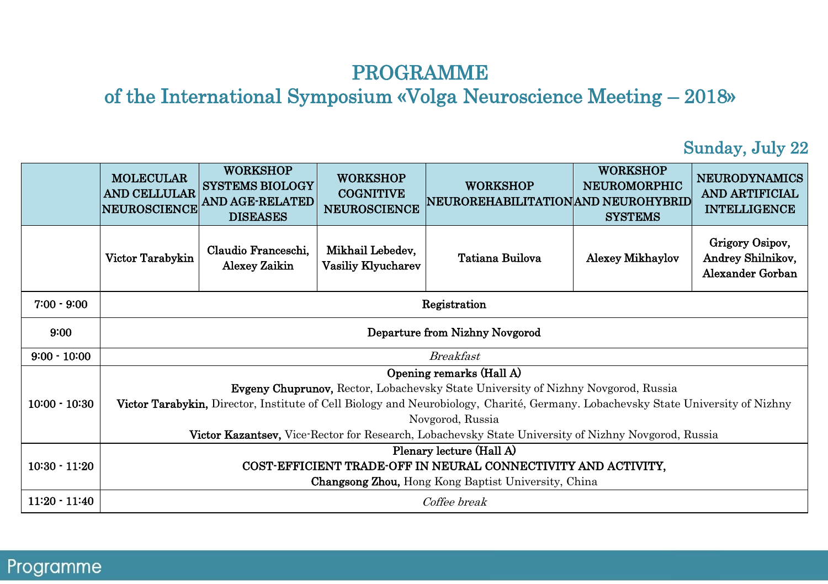### PROGRAMME

of the International Symposium «Volga Neuroscience Meeting – 2018»

#### Sunday, July 22

|                 | <b>MOLECULAR</b><br><b>AND CELLULAR</b><br><b>NEUROSCIENCE</b>                                                                                                                                                                                                  | <b>WORKSHOP</b><br><b>SYSTEMS BIOLOGY</b><br><b>AND AGE-RELATED</b><br><b>DISEASES</b> | <b>WORKSHOP</b><br><b>COGNITIVE</b><br><b>NEUROSCIENCE</b> | <b>WORKSHOP</b><br> NEUROREHABILITATION AND NEUROHYBRID | <b>WORKSHOP</b><br><b>NEUROMORPHIC</b><br><b>SYSTEMS</b> | <b>NEURODYNAMICS</b><br><b>AND ARTIFICIAL</b><br><b>INTELLIGENCE</b> |
|-----------------|-----------------------------------------------------------------------------------------------------------------------------------------------------------------------------------------------------------------------------------------------------------------|----------------------------------------------------------------------------------------|------------------------------------------------------------|---------------------------------------------------------|----------------------------------------------------------|----------------------------------------------------------------------|
|                 | Victor Tarabykin                                                                                                                                                                                                                                                | Claudio Franceschi,<br><b>Alexey Zaikin</b>                                            | Mikhail Lebedev,<br>Vasiliy Klyucharev                     | Tatiana Builova                                         | <b>Alexey Mikhaylov</b>                                  | Grigory Osipov,<br>Andrey Shilnikov,<br>Alexander Gorban             |
| $7:00 - 9:00$   |                                                                                                                                                                                                                                                                 | Registration                                                                           |                                                            |                                                         |                                                          |                                                                      |
| 9:00            | Departure from Nizhny Novgorod                                                                                                                                                                                                                                  |                                                                                        |                                                            |                                                         |                                                          |                                                                      |
| $9:00 - 10:00$  | <b>Breakfast</b>                                                                                                                                                                                                                                                |                                                                                        |                                                            |                                                         |                                                          |                                                                      |
| $10:00 - 10:30$ | Opening remarks (Hall A)<br><b>Evgeny Chuprunov,</b> Rector, Lobachevsky State University of Nizhny Novgorod, Russia<br><b>Victor Tarabykin,</b> Director, Institute of Cell Biology and Neurobiology, Charité, Germany. Lobachevsky State University of Nizhny |                                                                                        |                                                            |                                                         |                                                          |                                                                      |
|                 | Novgorod, Russia<br><b>Victor Kazantsey,</b> Vice-Rector for Research, Lobachevsky State University of Nizhny Novgorod, Russia                                                                                                                                  |                                                                                        |                                                            |                                                         |                                                          |                                                                      |
|                 | Plenary lecture (Hall A)                                                                                                                                                                                                                                        |                                                                                        |                                                            |                                                         |                                                          |                                                                      |
| $10:30 - 11:20$ | COST-EFFICIENT TRADE-OFF IN NEURAL CONNECTIVITY AND ACTIVITY,                                                                                                                                                                                                   |                                                                                        |                                                            |                                                         |                                                          |                                                                      |
|                 |                                                                                                                                                                                                                                                                 |                                                                                        |                                                            | Changsong Zhou, Hong Kong Baptist University, China     |                                                          |                                                                      |
| $11:20 - 11:40$ | Coffee break                                                                                                                                                                                                                                                    |                                                                                        |                                                            |                                                         |                                                          |                                                                      |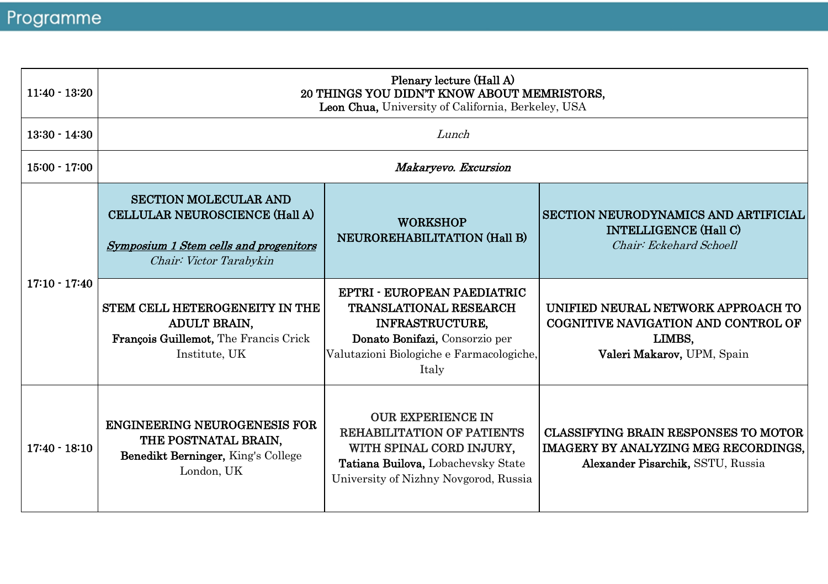| $11:40 - 13:20$ | Plenary lecture (Hall A)<br>20 THINGS YOU DIDN'T KNOW ABOUT MEMRISTORS.<br>Leon Chua, University of California, Berkeley, USA       |                                                                                                                                                                               |                                                                                                                          |  |  |
|-----------------|-------------------------------------------------------------------------------------------------------------------------------------|-------------------------------------------------------------------------------------------------------------------------------------------------------------------------------|--------------------------------------------------------------------------------------------------------------------------|--|--|
| $13:30 - 14:30$ |                                                                                                                                     | Lunch                                                                                                                                                                         |                                                                                                                          |  |  |
| $15:00 - 17:00$ |                                                                                                                                     | Makaryevo. Excursion                                                                                                                                                          |                                                                                                                          |  |  |
| $17:10 - 17:40$ | <b>SECTION MOLECULAR AND</b><br>CELLULAR NEUROSCIENCE (Hall A)<br>Symposium 1 Stem cells and progenitors<br>Chair: Victor Tarabykin | <b>WORKSHOP</b><br>NEUROREHABILITATION (Hall B)                                                                                                                               | SECTION NEURODYNAMICS AND ARTIFICIAL<br><b>INTELLIGENCE (Hall C)</b><br>Chair: Eckehard Schoell                          |  |  |
|                 | STEM CELL HETEROGENEITY IN THE<br><b>ADULT BRAIN.</b><br>François Guillemot, The Francis Crick<br>Institute, UK                     | EPTRI - EUROPEAN PAEDIATRIC<br><b>TRANSLATIONAL RESEARCH</b><br><b>INFRASTRUCTURE.</b><br>Donato Bonifazi, Consorzio per<br>Valutazioni Biologiche e Farmacologiche,<br>Italy | UNIFIED NEURAL NETWORK APPROACH TO<br>COGNITIVE NAVIGATION AND CONTROL OF<br>LIMBS,<br>Valeri Makarov, UPM, Spain        |  |  |
| $17:40 - 18:10$ | <b>ENGINEERING NEUROGENESIS FOR</b><br>THE POSTNATAL BRAIN,<br>Benedikt Berninger, King's College<br>London, UK                     | <b>OUR EXPERIENCE IN</b><br><b>REHABILITATION OF PATIENTS</b><br>WITH SPINAL CORD INJURY,<br>Tatiana Builova, Lobachevsky State<br>University of Nizhny Novgorod, Russia      | CLASSIFYING BRAIN RESPONSES TO MOTOR<br><b>IMAGERY BY ANALYZING MEG RECORDINGS.</b><br>Alexander Pisarchik, SSTU, Russia |  |  |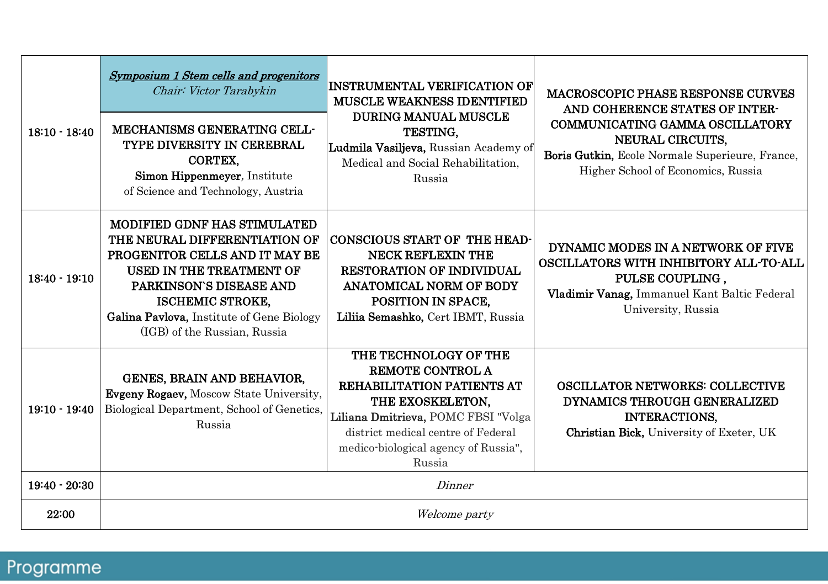| $18:10 - 18:40$ | Symposium 1 Stem cells and progenitors<br>Chair: Victor Tarabykin<br>MECHANISMS GENERATING CELL-<br>TYPE DIVERSITY IN CEREBRAL<br>CORTEX,<br>Simon Hippenmeyer, Institute<br>of Science and Technology, Austria                                                       | <b>INSTRUMENTAL VERIFICATION OF</b><br><b>MUSCLE WEAKNESS IDENTIFIED</b><br><b>DURING MANUAL MUSCLE</b><br>TESTING.<br>Ludmila Vasiljeva, Russian Academy of<br>Medical and Social Rehabilitation.<br>Russia                             | <b>MACROSCOPIC PHASE RESPONSE CURVES</b><br>AND COHERENCE STATES OF INTER-<br>COMMUNICATING GAMMA OSCILLATORY<br><b>NEURAL CIRCUITS.</b><br>Boris Gutkin, Ecole Normale Superieure, France,<br>Higher School of Economics, Russia |  |
|-----------------|-----------------------------------------------------------------------------------------------------------------------------------------------------------------------------------------------------------------------------------------------------------------------|------------------------------------------------------------------------------------------------------------------------------------------------------------------------------------------------------------------------------------------|-----------------------------------------------------------------------------------------------------------------------------------------------------------------------------------------------------------------------------------|--|
| $18:40 - 19:10$ | <b>MODIFIED GDNF HAS STIMULATED</b><br>THE NEURAL DIFFERENTIATION OF<br>PROGENITOR CELLS AND IT MAY BE<br>USED IN THE TREATMENT OF<br>PARKINSON'S DISEASE AND<br><b>ISCHEMIC STROKE,</b><br>Galina Pavlova, Institute of Gene Biology<br>(IGB) of the Russian, Russia | <b>CONSCIOUS START OF THE HEAD-</b><br><b>NECK REFLEXIN THE</b><br><b>RESTORATION OF INDIVIDUAL</b><br><b>ANATOMICAL NORM OF BODY</b><br>POSITION IN SPACE,<br>Liliia Semashko, Cert IBMT, Russia                                        | DYNAMIC MODES IN A NETWORK OF FIVE<br>OSCILLATORS WITH INHIBITORY ALL-TO-ALL<br>PULSE COUPLING.<br>Vladimir Vanag, Immanuel Kant Baltic Federal<br>University, Russia                                                             |  |
| $19:10 - 19:40$ | GENES, BRAIN AND BEHAVIOR,<br>Evgeny Rogaev, Moscow State University,<br>Biological Department, School of Genetics,<br>Russia                                                                                                                                         | THE TECHNOLOGY OF THE<br><b>REMOTE CONTROL A</b><br><b>REHABILITATION PATIENTS AT</b><br>THE EXOSKELETON.<br>Liliana Dmitrieva, POMC FBSI "Volga<br>district medical centre of Federal<br>medico-biological agency of Russia",<br>Russia | <b>OSCILLATOR NETWORKS: COLLECTIVE</b><br>DYNAMICS THROUGH GENERALIZED<br><b>INTERACTIONS,</b><br>Christian Bick, University of Exeter, UK                                                                                        |  |
| $19:40 - 20:30$ | Dinner                                                                                                                                                                                                                                                                |                                                                                                                                                                                                                                          |                                                                                                                                                                                                                                   |  |
| 22:00           |                                                                                                                                                                                                                                                                       | Welcome party                                                                                                                                                                                                                            |                                                                                                                                                                                                                                   |  |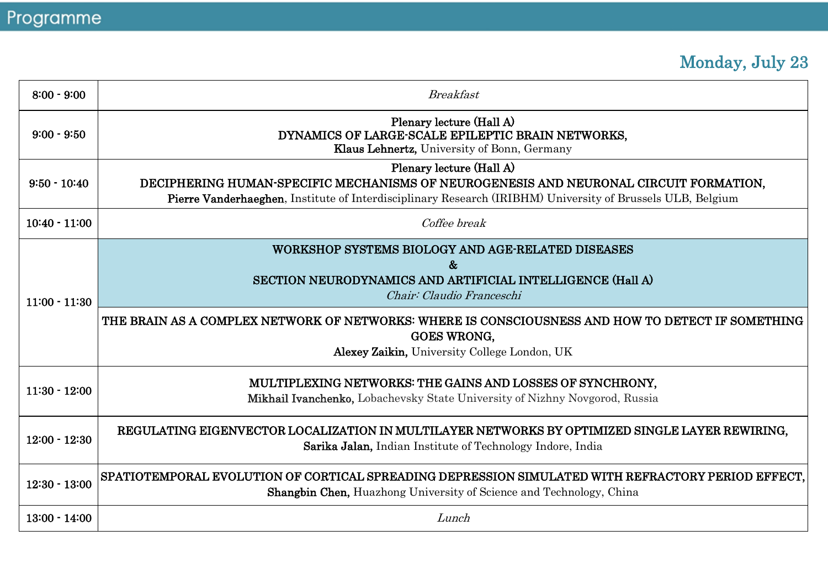# Monday, July 23

| $8:00 - 9:00$   | <b>Breakfast</b>                                                                                                                                                                                                                                       |
|-----------------|--------------------------------------------------------------------------------------------------------------------------------------------------------------------------------------------------------------------------------------------------------|
| $9:00 - 9:50$   | Plenary lecture (Hall A)<br>DYNAMICS OF LARGE-SCALE EPILEPTIC BRAIN NETWORKS,<br>Klaus Lehnertz, University of Bonn, Germany                                                                                                                           |
| $9:50 - 10:40$  | Plenary lecture (Hall A)<br>DECIPHERING HUMAN-SPECIFIC MECHANISMS OF NEUROGENESIS AND NEURONAL CIRCUIT FORMATION.<br>Pierre Vanderhaeghen, Institute of Interdisciplinary Research (IRIBHM) University of Brussels ULB, Belgium                        |
| $10:40 - 11:00$ | Coffee break                                                                                                                                                                                                                                           |
| $11:00 - 11:30$ | WORKSHOP SYSTEMS BIOLOGY AND AGE-RELATED DISEASES<br>&<br>SECTION NEURODYNAMICS AND ARTIFICIAL INTELLIGENCE (Hall A)<br>Chair: Claudio Franceschi<br>THE BRAIN AS A COMPLEX NETWORK OF NETWORKS: WHERE IS CONSCIOUSNESS AND HOW TO DETECT IF SOMETHING |
|                 | <b>GOES WRONG.</b><br>Alexey Zaikin, University College London, UK                                                                                                                                                                                     |
| $11:30 - 12:00$ | MULTIPLEXING NETWORKS: THE GAINS AND LOSSES OF SYNCHRONY.<br><b>Mikhail Ivanchenko,</b> Lobachevsky State University of Nizhny Novgorod, Russia                                                                                                        |
| $12:00 - 12:30$ | REGULATING EIGENVECTOR LOCALIZATION IN MULTILAYER NETWORKS BY OPTIMIZED SINGLE LAYER REWIRING.<br>Sarika Jalan, Indian Institute of Technology Indore, India                                                                                           |
| $12:30 - 13:00$ | SPATIOTEMPORAL EVOLUTION OF CORTICAL SPREADING DEPRESSION SIMULATED WITH REFRACTORY PERIOD EFFECT.<br><b>Shangbin Chen, Huazhong University of Science and Technology, China</b>                                                                       |
| $13:00 - 14:00$ | Lunch                                                                                                                                                                                                                                                  |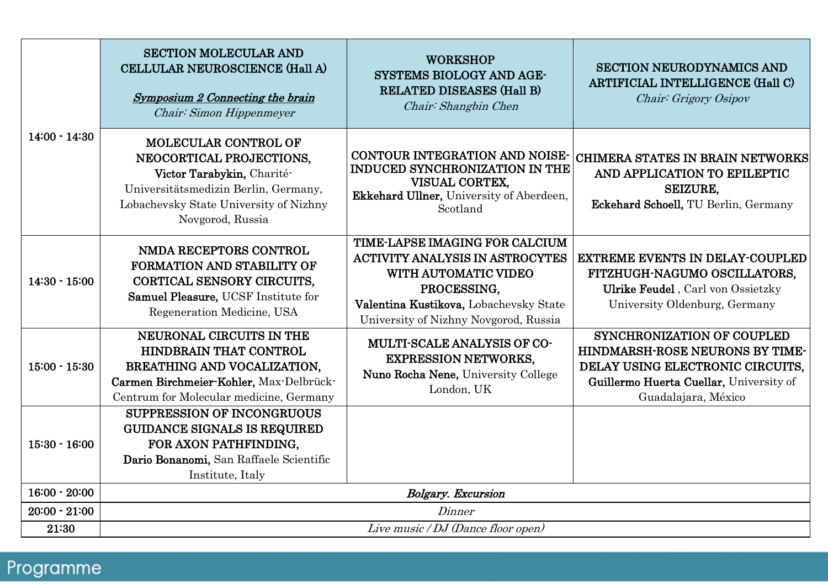| $14:00 - 14:30$ | <b>SECTION MOLECULAR AND</b><br>CELLULAR NEUROSCIENCE (Hall A)<br>Symposium 2 Connecting the brain<br>Chair: Simon Hippenmeyer                                                              | <b>WORKSHOP</b><br><b>SYSTEMS BIOLOGY AND AGE-</b><br>RELATED DISEASES (Hall B)<br>Chair: Shangbin Chen                                                                                                   | <b>SECTION NEURODYNAMICS AND</b><br><b>ARTIFICIAL INTELLIGENCE (Hall C)</b><br>Chair: Grigory Osipov                                                                       |  |
|-----------------|---------------------------------------------------------------------------------------------------------------------------------------------------------------------------------------------|-----------------------------------------------------------------------------------------------------------------------------------------------------------------------------------------------------------|----------------------------------------------------------------------------------------------------------------------------------------------------------------------------|--|
|                 | <b>MOLECULAR CONTROL OF</b><br>NEOCORTICAL PROJECTIONS.<br>Victor Tarabykin, Charité-<br>Universitätsmedizin Berlin, Germany,<br>Lobachevsky State University of Nizhny<br>Novgorod, Russia | <b>CONTOUR INTEGRATION AND NOISE-</b><br>INDUCED SYNCHRONIZATION IN THE<br>VISUAL CORTEX.<br>Ekkehard Ullner, University of Aberdeen,<br>Scotland                                                         | <b>CHIMERA STATES IN BRAIN NETWORKS</b><br>AND APPLICATION TO EPILEPTIC<br><b>SEIZURE.</b><br>Eckehard Schoell, TU Berlin, Germany                                         |  |
| $14:30 - 15:00$ | NMDA RECEPTORS CONTROL<br><b>FORMATION AND STABILITY OF</b><br>CORTICAL SENSORY CIRCUITS.<br>Samuel Pleasure, UCSF Institute for<br>Regeneration Medicine, USA                              | <b>TIME-LAPSE IMAGING FOR CALCIUM</b><br><b>ACTIVITY ANALYSIS IN ASTROCYTES</b><br>WITH AUTOMATIC VIDEO<br>PROCESSING.<br>Valentina Kustikova, Lobachevsky State<br>University of Nizhny Novgorod, Russia | <b>EXTREME EVENTS IN DELAY-COUPLED</b><br>FITZHUGH-NAGUMO OSCILLATORS.<br>Ulrike Feudel, Carl von Ossietzky<br>University Oldenburg, Germany                               |  |
| $15:00 - 15:30$ | NEURONAL CIRCUITS IN THE<br>HINDBRAIN THAT CONTROL<br>BREATHING AND VOCALIZATION.<br>Carmen Birchmeier-Kohler, Max-Delbrück-<br>Centrum for Molecular medicine, Germany                     | <b>MULTI-SCALE ANALYSIS OF CO-</b><br><b>EXPRESSION NETWORKS,</b><br>Nuno Rocha Nene, University College<br>London, UK                                                                                    | <b>SYNCHRONIZATION OF COUPLED</b><br>HINDMARSH-ROSE NEURONS BY TIME-<br>DELAY USING ELECTRONIC CIRCUITS,<br>Guillermo Huerta Cuellar, University of<br>Guadalajara, México |  |
| $15:30 - 16:00$ | <b>SUPPRESSION OF INCONGRUOUS</b><br><b>GUIDANCE SIGNALS IS REQUIRED</b><br>FOR AXON PATHFINDING.<br>Dario Bonanomi, San Raffaele Scientific<br>Institute, Italy                            |                                                                                                                                                                                                           |                                                                                                                                                                            |  |
| $16:00 - 20:00$ | <b>Bolgary.</b> Excursion                                                                                                                                                                   |                                                                                                                                                                                                           |                                                                                                                                                                            |  |
| $20:00 - 21:00$ | Dinner                                                                                                                                                                                      |                                                                                                                                                                                                           |                                                                                                                                                                            |  |
| 21:30           | Live music / DJ (Dance floor open)                                                                                                                                                          |                                                                                                                                                                                                           |                                                                                                                                                                            |  |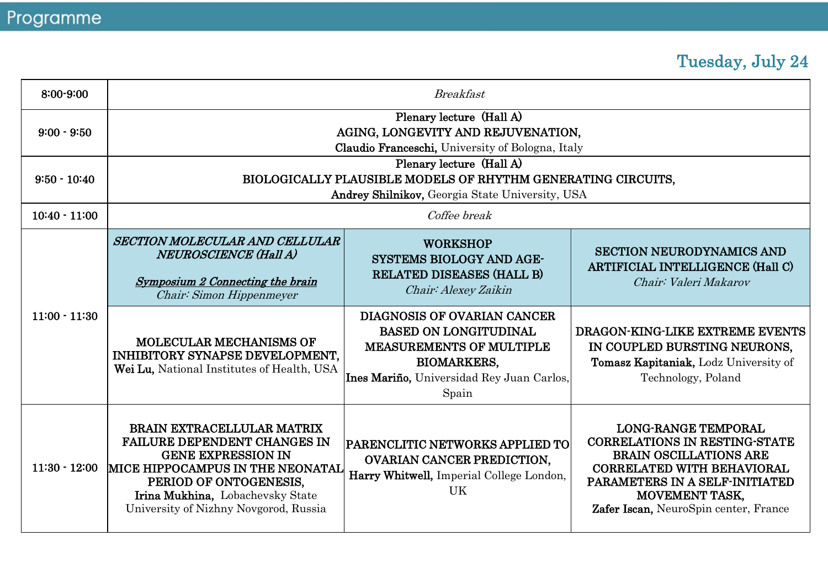### Tuesday, July 24

| 8:00-9:00       | <b>Breakfast</b>                                                                                                                                                                                                                                 |                                                                                                                                                                                   |                                                                                                                                                                                                                                              |  |
|-----------------|--------------------------------------------------------------------------------------------------------------------------------------------------------------------------------------------------------------------------------------------------|-----------------------------------------------------------------------------------------------------------------------------------------------------------------------------------|----------------------------------------------------------------------------------------------------------------------------------------------------------------------------------------------------------------------------------------------|--|
| $9:00 - 9:50$   | Plenary lecture (Hall A)<br>AGING, LONGEVITY AND REJUVENATION.<br>Claudio Franceschi, University of Bologna, Italy                                                                                                                               |                                                                                                                                                                                   |                                                                                                                                                                                                                                              |  |
| $9:50 - 10:40$  | Plenary lecture (Hall A)<br>BIOLOGICALLY PLAUSIBLE MODELS OF RHYTHM GENERATING CIRCUITS.<br>Andrey Shilnikov, Georgia State University, USA                                                                                                      |                                                                                                                                                                                   |                                                                                                                                                                                                                                              |  |
| $10:40 - 11:00$ |                                                                                                                                                                                                                                                  | Coffee break                                                                                                                                                                      |                                                                                                                                                                                                                                              |  |
| $11:00 - 11:30$ | SECTION MOLECULAR AND CELLULAR<br><b>NEUROSCIENCE (Hall A)</b><br>Symposium 2 Connecting the brain<br>Chair: Simon Hippenmeyer                                                                                                                   | <b>WORKSHOP</b><br><b>SYSTEMS BIOLOGY AND AGE-</b><br>RELATED DISEASES (HALL B)<br>Chair: Alexey Zaikin                                                                           | <b>SECTION NEURODYNAMICS AND</b><br><b>ARTIFICIAL INTELLIGENCE (Hall C)</b><br>Chair: Valeri Makarov                                                                                                                                         |  |
|                 | <b>MOLECULAR MECHANISMS OF</b><br>INHIBITORY SYNAPSE DEVELOPMENT.<br>Wei Lu. National Institutes of Health, USA                                                                                                                                  | <b>DIAGNOSIS OF OVARIAN CANCER</b><br><b>BASED ON LONGITUDINAL</b><br><b>MEASUREMENTS OF MULTIPLE</b><br><b>BIOMARKERS.</b><br>Ines Mariño, Universidad Rey Juan Carlos,<br>Spain | DRAGON-KING-LIKE EXTREME EVENTS<br>IN COUPLED BURSTING NEURONS.<br>Tomasz Kapitaniak, Lodz University of<br>Technology, Poland                                                                                                               |  |
| $11:30 - 12:00$ | <b>BRAIN EXTRACELLULAR MATRIX</b><br><b>FAILURE DEPENDENT CHANGES IN</b><br><b>GENE EXPRESSION IN</b><br>MICE HIPPOCAMPUS IN THE NEONATAL<br>PERIOD OF ONTOGENESIS,<br>Irina Mukhina, Lobachevsky State<br>University of Nizhny Novgorod, Russia | PARENCLITIC NETWORKS APPLIED TO<br><b>OVARIAN CANCER PREDICTION.</b><br>Harry Whitwell, Imperial College London,<br>UK                                                            | <b>LONG-RANGE TEMPORAL</b><br><b>CORRELATIONS IN RESTING-STATE</b><br><b>BRAIN OSCILLATIONS ARE</b><br><b>CORRELATED WITH BEHAVIORAL</b><br>PARAMETERS IN A SELF-INITIATED<br><b>MOVEMENT TASK.</b><br>Zafer Iscan, NeuroSpin center, France |  |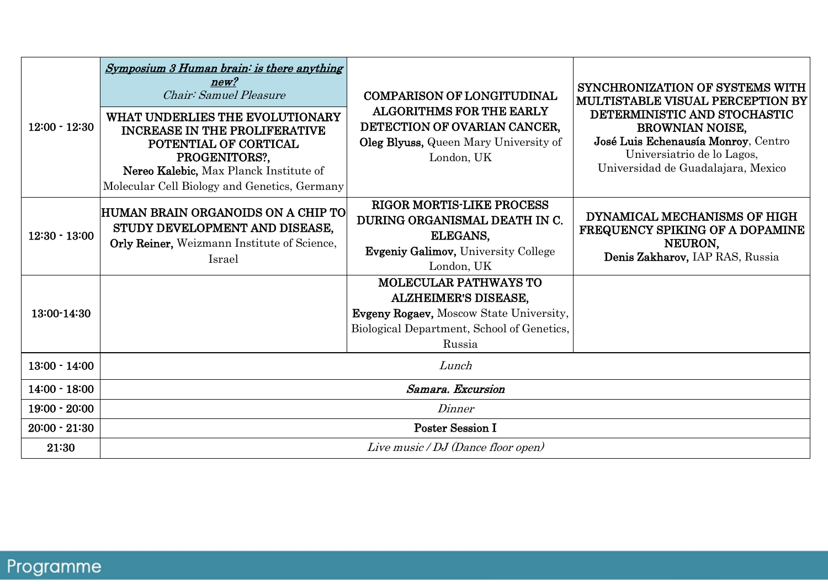| $12:00 - 12:30$ | Symposium 3 Human brain: is there anything<br>new?<br>Chair: Samuel Pleasure<br>WHAT UNDERLIES THE EVOLUTIONARY<br><b>INCREASE IN THE PROLIFERATIVE</b><br>POTENTIAL OF CORTICAL<br>PROGENITORS?,<br>Nereo Kalebic, Max Planck Institute of<br>Molecular Cell Biology and Genetics, Germany | <b>COMPARISON OF LONGITUDINAL</b><br><b>ALGORITHMS FOR THE EARLY</b><br>DETECTION OF OVARIAN CANCER.<br>Oleg Blyuss, Queen Mary University of<br>London, UK    | SYNCHRONIZATION OF SYSTEMS WITH<br>MULTISTABLE VISUAL PERCEPTION BY<br>DETERMINISTIC AND STOCHASTIC<br><b>BROWNIAN NOISE.</b><br>José Luis Echenausía Monroy, Centro<br>Universiatrio de lo Lagos,<br>Universidad de Guadalajara, Mexico |  |
|-----------------|---------------------------------------------------------------------------------------------------------------------------------------------------------------------------------------------------------------------------------------------------------------------------------------------|----------------------------------------------------------------------------------------------------------------------------------------------------------------|------------------------------------------------------------------------------------------------------------------------------------------------------------------------------------------------------------------------------------------|--|
| $12:30 - 13:00$ | HUMAN BRAIN ORGANOIDS ON A CHIP TO <br>STUDY DEVELOPMENT AND DISEASE.<br>Orly Reiner, Weizmann Institute of Science,<br>Israel                                                                                                                                                              | <b>RIGOR MORTIS-LIKE PROCESS</b><br>DURING ORGANISMAL DEATH IN C.<br>ELEGANS,<br><b>Evgeniy Galimov, University College</b><br>London, UK                      | DYNAMICAL MECHANISMS OF HIGH<br>FREQUENCY SPIKING OF A DOPAMINE<br>NEURON,<br>Denis Zakharov, IAP RAS, Russia                                                                                                                            |  |
| 13:00-14:30     |                                                                                                                                                                                                                                                                                             | <b>MOLECULAR PATHWAYS TO</b><br><b>ALZHEIMER'S DISEASE,</b><br>Evgeny Rogaev, Moscow State University,<br>Biological Department, School of Genetics,<br>Russia |                                                                                                                                                                                                                                          |  |
| $13:00 - 14:00$ |                                                                                                                                                                                                                                                                                             | Lunch                                                                                                                                                          |                                                                                                                                                                                                                                          |  |
| $14:00 - 18:00$ | Samara, Excursion                                                                                                                                                                                                                                                                           |                                                                                                                                                                |                                                                                                                                                                                                                                          |  |
| $19:00 - 20:00$ | Dinner                                                                                                                                                                                                                                                                                      |                                                                                                                                                                |                                                                                                                                                                                                                                          |  |
| $20:00 - 21:30$ | <b>Poster Session I</b>                                                                                                                                                                                                                                                                     |                                                                                                                                                                |                                                                                                                                                                                                                                          |  |
| 21:30           | Live music / DJ (Dance floor open)                                                                                                                                                                                                                                                          |                                                                                                                                                                |                                                                                                                                                                                                                                          |  |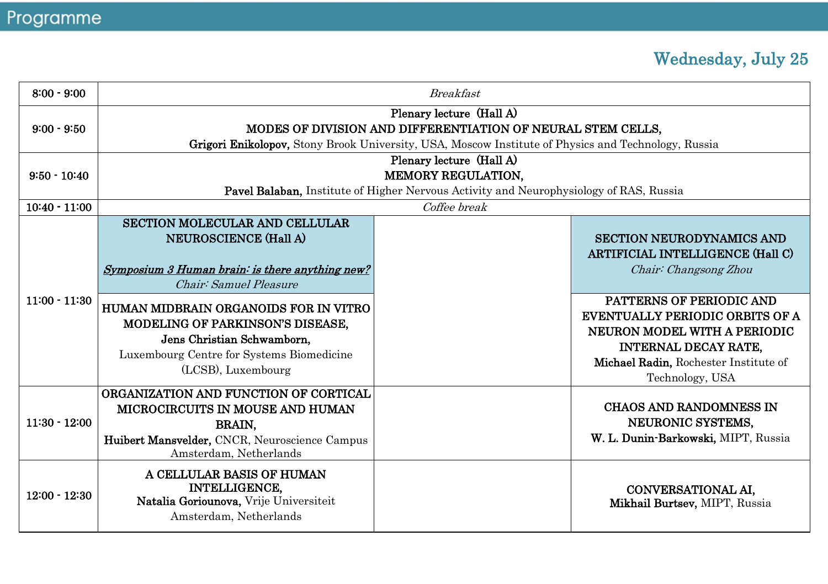### Wednesday, July 25

| $8:00 - 9:00$   | <b>Breakfast</b>                                                                                                                                                                               |              |                                                                                                                                                                                               |  |  |
|-----------------|------------------------------------------------------------------------------------------------------------------------------------------------------------------------------------------------|--------------|-----------------------------------------------------------------------------------------------------------------------------------------------------------------------------------------------|--|--|
| $9:00 - 9:50$   | Plenary lecture (Hall A)<br>MODES OF DIVISION AND DIFFERENTIATION OF NEURAL STEM CELLS,<br>Grigori Enikolopov, Stony Brook University, USA, Moscow Institute of Physics and Technology, Russia |              |                                                                                                                                                                                               |  |  |
| $9:50 - 10:40$  | Plenary lecture (Hall A)<br><b>MEMORY REGULATION.</b><br><b>Pavel Balaban, Institute of Higher Nervous Activity and Neurophysiology of RAS, Russia</b>                                         |              |                                                                                                                                                                                               |  |  |
| $10:40 - 11:00$ |                                                                                                                                                                                                | Coffee break |                                                                                                                                                                                               |  |  |
|                 | SECTION MOLECULAR AND CELLULAR<br><b>NEUROSCIENCE (Hall A)</b><br>Symposium 3 Human brain: is there anything new?<br>Chair: Samuel Pleasure                                                    |              | <b>SECTION NEURODYNAMICS AND</b><br>ARTIFICIAL INTELLIGENCE (Hall C)<br>Chair: Changsong Zhou                                                                                                 |  |  |
| $11:00 - 11:30$ | HUMAN MIDBRAIN ORGANOIDS FOR IN VITRO<br><b>MODELING OF PARKINSON'S DISEASE.</b><br>Jens Christian Schwamborn.<br>Luxembourg Centre for Systems Biomedicine<br>(LCSB), Luxembourg              |              | PATTERNS OF PERIODIC AND<br><b>EVENTUALLY PERIODIC ORBITS OF A</b><br>NEURON MODEL WITH A PERIODIC<br><b>INTERNAL DECAY RATE.</b><br>Michael Radin, Rochester Institute of<br>Technology, USA |  |  |
| $11:30 - 12:00$ | ORGANIZATION AND FUNCTION OF CORTICAL<br>MICROCIRCUITS IN MOUSE AND HUMAN<br>BRAIN,<br>Huibert Mansvelder, CNCR, Neuroscience Campus<br>Amsterdam, Netherlands                                 |              | <b>CHAOS AND RANDOMNESS IN</b><br>NEURONIC SYSTEMS.<br>W. L. Dunin-Barkowski, MIPT, Russia                                                                                                    |  |  |
| $12:00 - 12:30$ | A CELLULAR BASIS OF HUMAN<br><b>INTELLIGENCE,</b><br>Natalia Goriounova, Vrije Universiteit<br>Amsterdam, Netherlands                                                                          |              | <b>CONVERSATIONAL AI.</b><br>Mikhail Burtsev, MIPT, Russia                                                                                                                                    |  |  |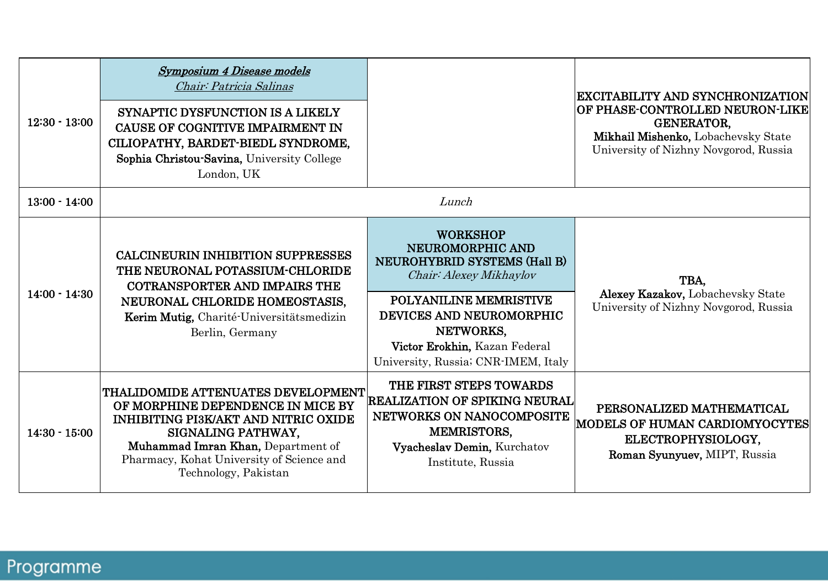| $12:30 - 13:00$ | <b>Symposium 4 Disease models</b><br>Chair: Patricia Salinas<br>SYNAPTIC DYSFUNCTION IS A LIKELY<br><b>CAUSE OF COGNITIVE IMPAIRMENT IN</b><br>CILIOPATHY, BARDET-BIEDL SYNDROME.<br>Sophia Christou-Savina, University College                          |                                                                                                                                                                                                                                                         | EXCITABILITY AND SYNCHRONIZATION<br><b> OF PHASE-CONTROLLED NEURON-LIKE </b><br><b>GENERATOR,</b><br>Mikhail Mishenko, Lobachevsky State<br>University of Nizhny Novgorod, Russia |
|-----------------|----------------------------------------------------------------------------------------------------------------------------------------------------------------------------------------------------------------------------------------------------------|---------------------------------------------------------------------------------------------------------------------------------------------------------------------------------------------------------------------------------------------------------|-----------------------------------------------------------------------------------------------------------------------------------------------------------------------------------|
| $13:00 - 14:00$ | London, UK                                                                                                                                                                                                                                               | Lunch                                                                                                                                                                                                                                                   |                                                                                                                                                                                   |
| $14:00 - 14:30$ | <b>CALCINEURIN INHIBITION SUPPRESSES</b><br>THE NEURONAL POTASSIUM-CHLORIDE<br>COTRANSPORTER AND IMPAIRS THE<br>NEURONAL CHLORIDE HOMEOSTASIS.<br>Kerim Mutig, Charité-Universitätsmedizin<br>Berlin, Germany                                            | <b>WORKSHOP</b><br>NEUROMORPHIC AND<br>NEUROHYBRID SYSTEMS (Hall B)<br>Chair: Alexey Mikhaylov<br><b>POLYANILINE MEMRISTIVE</b><br><b>DEVICES AND NEUROMORPHIC</b><br>NETWORKS.<br>Victor Erokhin, Kazan Federal<br>University, Russia; CNR-IMEM, Italy | TBA.<br>Alexey Kazakov, Lobachevsky State<br>University of Nizhny Novgorod, Russia                                                                                                |
| $14:30 - 15:00$ | THALIDOMIDE ATTENUATES DEVELOPMENT <br>OF MORPHINE DEPENDENCE IN MICE BY<br><b>INHIBITING PI3K/AKT AND NITRIC OXIDE</b><br>SIGNALING PATHWAY.<br>Muhammad Imran Khan, Department of<br>Pharmacy, Kohat University of Science and<br>Technology, Pakistan | THE FIRST STEPS TOWARDS<br><b>REALIZATION OF SPIKING NEURAL</b><br>NETWORKS ON NANOCOMPOSITE<br><b>MEMRISTORS,</b><br>Vyacheslav Demin, Kurchatov<br>Institute, Russia                                                                                  | PERSONALIZED MATHEMATICAL<br>MODELS OF HUMAN CARDIOMYOCYTES<br>ELECTROPHYSIOLOGY.<br>Roman Syunyuev, MIPT, Russia                                                                 |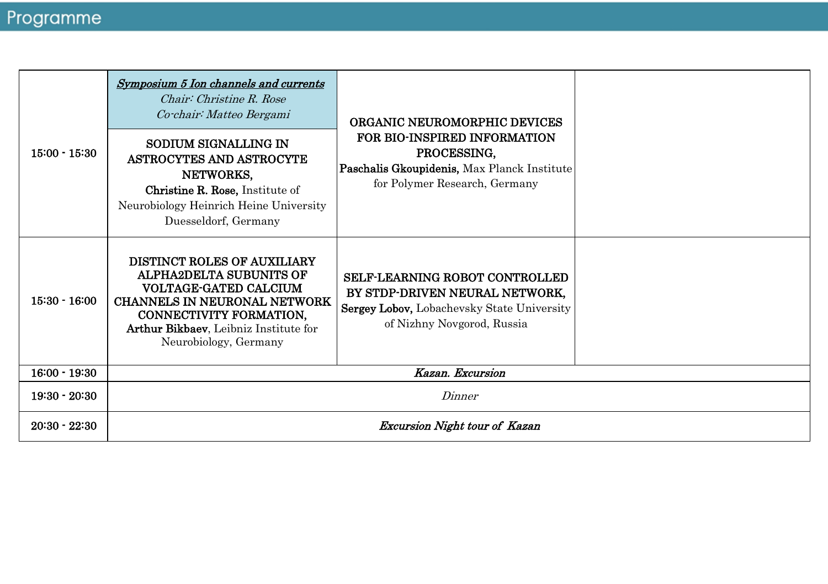| $15:00 - 15:30$ | Symposium 5 Ion channels and currents<br>Chair: Christine R. Rose<br>Co chair: Matteo Bergami<br>SODIUM SIGNALLING IN<br>ASTROCYTES AND ASTROCYTE<br>NETWORKS,<br><b>Christine R. Rose, Institute of</b><br>Neurobiology Heinrich Heine University<br>Duesseldorf, Germany | ORGANIC NEUROMORPHIC DEVICES<br>FOR BIO-INSPIRED INFORMATION<br>PROCESSING.<br>Paschalis Gkoupidenis, Max Planck Institute<br>for Polymer Research, Germany |  |
|-----------------|----------------------------------------------------------------------------------------------------------------------------------------------------------------------------------------------------------------------------------------------------------------------------|-------------------------------------------------------------------------------------------------------------------------------------------------------------|--|
| $15:30 - 16:00$ | <b>DISTINCT ROLES OF AUXILIARY</b><br><b>ALPHA2DELTA SUBUNITS OF</b><br>VOLTAGE-GATED CALCIUM<br><b>CHANNELS IN NEURONAL NETWORK</b><br>CONNECTIVITY FORMATION,<br>Arthur Bikbaev, Leibniz Institute for<br>Neurobiology, Germany                                          | SELF-LEARNING ROBOT CONTROLLED<br>BY STDP-DRIVEN NEURAL NETWORK.<br>Sergey Lobov, Lobachevsky State University<br>of Nizhny Novgorod, Russia                |  |
| $16:00 - 19:30$ |                                                                                                                                                                                                                                                                            | Kazan. Excursion                                                                                                                                            |  |
| $19:30 - 20:30$ | Dinner                                                                                                                                                                                                                                                                     |                                                                                                                                                             |  |
| $20:30 - 22:30$ | <b>Excursion Night tour of Kazan</b>                                                                                                                                                                                                                                       |                                                                                                                                                             |  |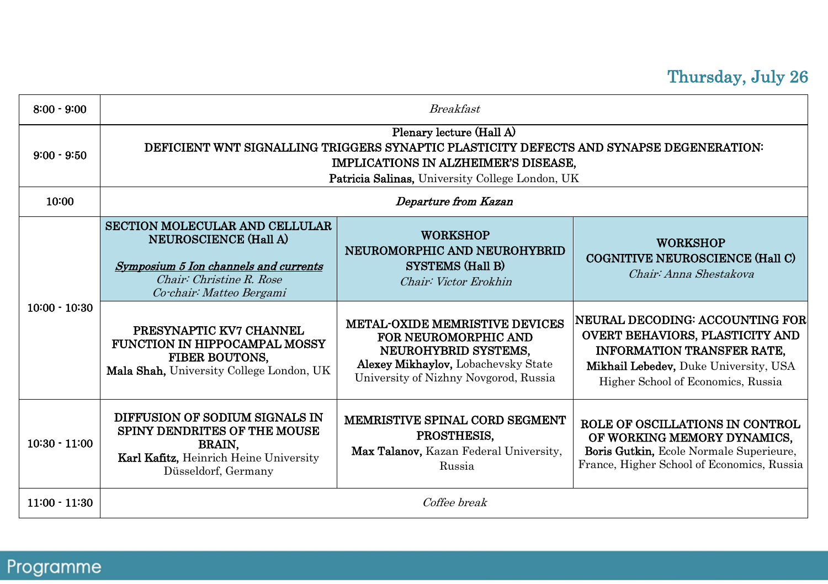### Thursday, July 26

| $8:00 - 9:00$   | <b>Breakfast</b>                                                                                                                                                                                               |                                                                                                                                                                       |                                                                                                                                                                                               |  |  |
|-----------------|----------------------------------------------------------------------------------------------------------------------------------------------------------------------------------------------------------------|-----------------------------------------------------------------------------------------------------------------------------------------------------------------------|-----------------------------------------------------------------------------------------------------------------------------------------------------------------------------------------------|--|--|
| $9:00 - 9:50$   | Plenary lecture (Hall A)<br>DEFICIENT WNT SIGNALLING TRIGGERS SYNAPTIC PLASTICITY DEFECTS AND SYNAPSE DEGENERATION:<br>IMPLICATIONS IN ALZHEIMER'S DISEASE,<br>Patricia Salinas, University College London, UK |                                                                                                                                                                       |                                                                                                                                                                                               |  |  |
| 10:00           |                                                                                                                                                                                                                | Departure from Kazan                                                                                                                                                  |                                                                                                                                                                                               |  |  |
| $10:00 - 10:30$ | SECTION MOLECULAR AND CELLULAR<br><b>NEUROSCIENCE (Hall A)</b><br>Symposium 5 Ion channels and currents<br>Chair: Christine R. Rose<br>Co-chair: Matteo Bergami                                                | <b>WORKSHOP</b><br>NEUROMORPHIC AND NEUROHYBRID<br><b>SYSTEMS</b> (Hall B)<br>Chair: Victor Erokhin                                                                   | <b>WORKSHOP</b><br><b>COGNITIVE NEUROSCIENCE (Hall C)</b><br>Chair: Anna Shestakova                                                                                                           |  |  |
|                 | PRESYNAPTIC KV7 CHANNEL<br><b>FUNCTION IN HIPPOCAMPAL MOSSY</b><br><b>FIBER BOUTONS.</b><br>Mala Shah, University College London, UK                                                                           | METAL-OXIDE MEMRISTIVE DEVICES<br><b>FOR NEUROMORPHIC AND</b><br>NEUROHYBRID SYSTEMS,<br>Alexey Mikhaylov, Lobachevsky State<br>University of Nizhny Novgorod, Russia | NEURAL DECODING: ACCOUNTING FOR<br><b>OVERT BEHAVIORS, PLASTICITY AND</b><br><b>INFORMATION TRANSFER RATE.</b><br>Mikhail Lebedev, Duke University, USA<br>Higher School of Economics, Russia |  |  |
| $10:30 - 11:00$ | DIFFUSION OF SODIUM SIGNALS IN<br>SPINY DENDRITES OF THE MOUSE<br><b>BRAIN.</b><br>Karl Kafitz, Heinrich Heine University<br>Düsseldorf, Germany                                                               | <b>MEMRISTIVE SPINAL CORD SEGMENT</b><br>PROSTHESIS.<br>Max Talanov, Kazan Federal University,<br>Russia                                                              | ROLE OF OSCILLATIONS IN CONTROL<br>OF WORKING MEMORY DYNAMICS,<br>Boris Gutkin, Ecole Normale Superieure,<br>France, Higher School of Economics, Russia                                       |  |  |
| $11:00 - 11:30$ | Coffee break                                                                                                                                                                                                   |                                                                                                                                                                       |                                                                                                                                                                                               |  |  |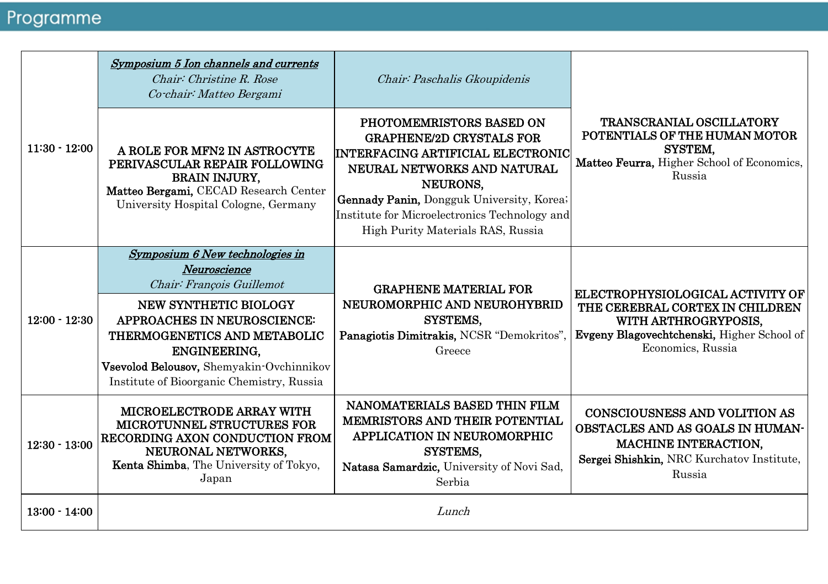| $11:30 - 12:00$ | Symposium 5 Ion channels and currents<br>Chair: Christine R. Rose<br>Co-chair: Matteo Bergami                                                                                                                                                                                        | Chair: Paschalis Gkoupidenis                                                                                                                                                                                                                                                          |                                                                                                                                                                |  |
|-----------------|--------------------------------------------------------------------------------------------------------------------------------------------------------------------------------------------------------------------------------------------------------------------------------------|---------------------------------------------------------------------------------------------------------------------------------------------------------------------------------------------------------------------------------------------------------------------------------------|----------------------------------------------------------------------------------------------------------------------------------------------------------------|--|
|                 | A ROLE FOR MFN2 IN ASTROCYTE<br>PERIVASCULAR REPAIR FOLLOWING<br><b>BRAIN INJURY,</b><br>Matteo Bergami, CECAD Research Center<br>University Hospital Cologne, Germany                                                                                                               | PHOTOMEMRISTORS BASED ON<br><b>GRAPHENE/2D CRYSTALS FOR</b><br>INTERFACING ARTIFICIAL ELECTRONIC<br>NEURAL NETWORKS AND NATURAL<br>NEURONS.<br><b>Gennady Panin, Dongguk University, Korea;</b><br>Institute for Microelectronics Technology and<br>High Purity Materials RAS, Russia | <b>TRANSCRANIAL OSCILLATORY</b><br>POTENTIALS OF THE HUMAN MOTOR<br>SYSTEM.<br>Matteo Feurra, Higher School of Economics,<br>Russia                            |  |
| $12:00 - 12:30$ | Symposium 6 New technologies in<br>Neuroscience<br>Chair: François Guillemot<br>NEW SYNTHETIC BIOLOGY<br><b>APPROACHES IN NEUROSCIENCE:</b><br>THERMOGENETICS AND METABOLIC<br>ENGINEERING.<br>Vsevolod Belousov, Shemyakin-Ovchinnikov<br>Institute of Bioorganic Chemistry, Russia | <b>GRAPHENE MATERIAL FOR</b><br>NEUROMORPHIC AND NEUROHYBRID<br>SYSTEMS.<br>Panagiotis Dimitrakis, NCSR "Demokritos".<br>Greece                                                                                                                                                       | ELECTROPHYSIOLOGICAL ACTIVITY OF<br>THE CEREBRAL CORTEX IN CHILDREN<br>WITH ARTHROGRYPOSIS,<br>Evgeny Blagovechtchenski, Higher School of<br>Economics, Russia |  |
| $12:30 - 13:00$ | <b>MICROELECTRODE ARRAY WITH</b><br><b>MICROTUNNEL STRUCTURES FOR</b><br>RECORDING AXON CONDUCTION FROM<br>NEURONAL NETWORKS.<br>Kenta Shimba, The University of Tokyo,<br>Japan                                                                                                     | NANOMATERIALS BASED THIN FILM<br><b>MEMRISTORS AND THEIR POTENTIAL</b><br><b>APPLICATION IN NEUROMORPHIC</b><br>SYSTEMS.<br>Natasa Samardzic, University of Novi Sad,<br>Serbia                                                                                                       | CONSCIOUSNESS AND VOLITION AS<br><b>OBSTACLES AND AS GOALS IN HUMAN-</b><br><b>MACHINE INTERACTION.</b><br>Sergei Shishkin, NRC Kurchatov Institute,<br>Russia |  |
| $13:00 - 14:00$ |                                                                                                                                                                                                                                                                                      | Lunch                                                                                                                                                                                                                                                                                 |                                                                                                                                                                |  |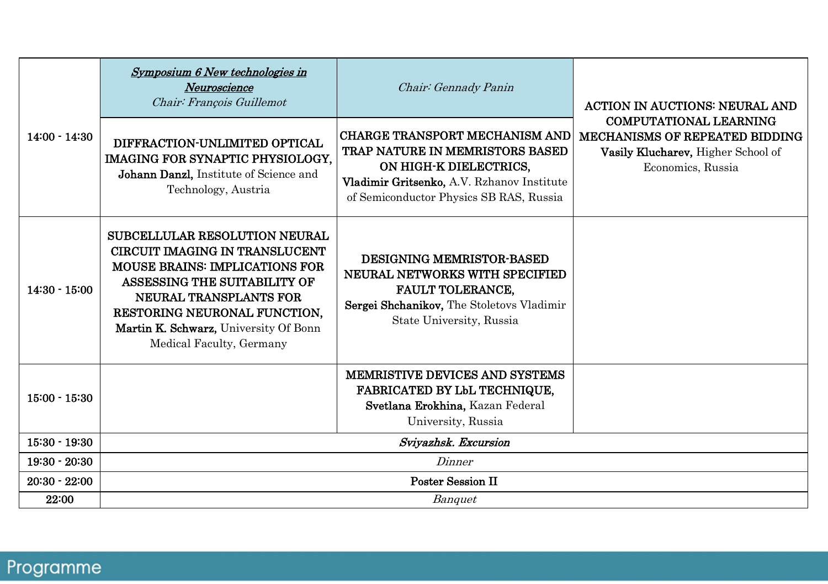| $14:00 - 14:30$ | Symposium 6 New technologies in<br>Neuroscience<br>Chair: François Guillemot                                                                                                                                                                                                          | Chair: Gennady Panin                                                                                                                                                                        | <b>ACTION IN AUCTIONS: NEURAL AND</b><br><b>COMPUTATIONAL LEARNING</b><br><b>MECHANISMS OF REPEATED BIDDING</b><br>Vasily Klucharev, Higher School of<br>Economics, Russia |
|-----------------|---------------------------------------------------------------------------------------------------------------------------------------------------------------------------------------------------------------------------------------------------------------------------------------|---------------------------------------------------------------------------------------------------------------------------------------------------------------------------------------------|----------------------------------------------------------------------------------------------------------------------------------------------------------------------------|
|                 | DIFFRACTION-UNLIMITED OPTICAL<br>IMAGING FOR SYNAPTIC PHYSIOLOGY.<br>Johann Danzl, Institute of Science and<br>Technology, Austria                                                                                                                                                    | <b>CHARGE TRANSPORT MECHANISM AND</b><br>TRAP NATURE IN MEMRISTORS BASED<br>ON HIGH-K DIELECTRICS.<br>Vladimir Gritsenko, A.V. Rzhanov Institute<br>of Semiconductor Physics SB RAS, Russia |                                                                                                                                                                            |
| $14:30 - 15:00$ | <b>SUBCELLULAR RESOLUTION NEURAL</b><br><b>CIRCUIT IMAGING IN TRANSLUCENT</b><br><b>MOUSE BRAINS: IMPLICATIONS FOR</b><br>ASSESSING THE SUITABILITY OF<br>NEURAL TRANSPLANTS FOR<br>RESTORING NEURONAL FUNCTION.<br>Martin K. Schwarz, University Of Bonn<br>Medical Faculty, Germany | <b>DESIGNING MEMRISTOR-BASED</b><br>NEURAL NETWORKS WITH SPECIFIED<br><b>FAULT TOLERANCE,</b><br>Sergei Shchanikov, The Stoletovs Vladimir<br>State University, Russia                      |                                                                                                                                                                            |
| $15:00 - 15:30$ |                                                                                                                                                                                                                                                                                       | MEMRISTIVE DEVICES AND SYSTEMS<br><b>FABRICATED BY LbL TECHNIQUE,</b><br>Svetlana Erokhina, Kazan Federal<br>University, Russia                                                             |                                                                                                                                                                            |
| $15:30 - 19:30$ | Svivazhsk. Excursion                                                                                                                                                                                                                                                                  |                                                                                                                                                                                             |                                                                                                                                                                            |
| $19:30 - 20:30$ | Dinner                                                                                                                                                                                                                                                                                |                                                                                                                                                                                             |                                                                                                                                                                            |
| $20:30 - 22:00$ | <b>Poster Session II</b>                                                                                                                                                                                                                                                              |                                                                                                                                                                                             |                                                                                                                                                                            |
| 22:00           |                                                                                                                                                                                                                                                                                       | Banquet                                                                                                                                                                                     |                                                                                                                                                                            |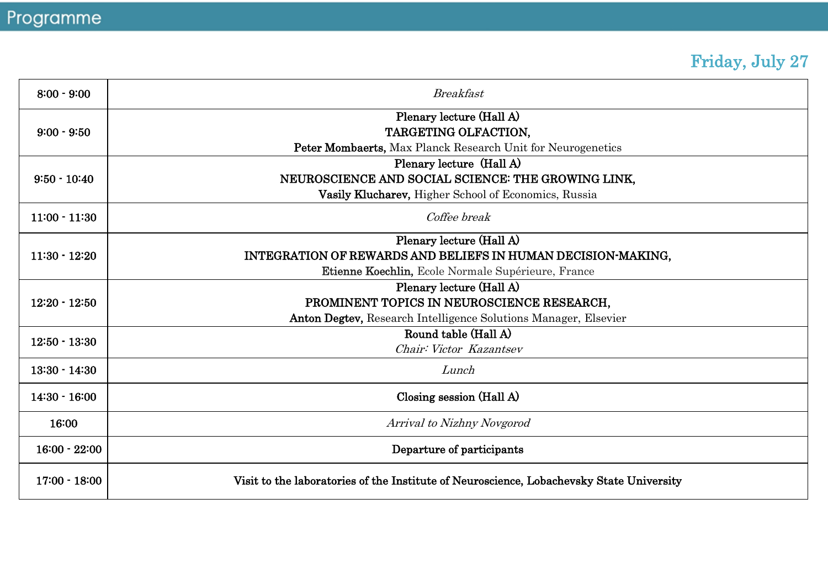# Friday, July 27

| $8:00 - 9:00$   | <b>Breakfast</b>                                                                         |  |  |
|-----------------|------------------------------------------------------------------------------------------|--|--|
| $9:00 - 9:50$   | Plenary lecture (Hall A)                                                                 |  |  |
|                 | TARGETING OLFACTION.                                                                     |  |  |
|                 | <b>Peter Mombaerts, Max Planck Research Unit for Neurogenetics</b>                       |  |  |
| $9:50 - 10:40$  | Plenary lecture (Hall A)                                                                 |  |  |
|                 | NEUROSCIENCE AND SOCIAL SCIENCE: THE GROWING LINK.                                       |  |  |
|                 | Vasily Klucharev, Higher School of Economics, Russia                                     |  |  |
| $11:00 - 11:30$ | Coffee break                                                                             |  |  |
|                 | Plenary lecture (Hall A)                                                                 |  |  |
| $11:30 - 12:20$ | INTEGRATION OF REWARDS AND BELIEFS IN HUMAN DECISION-MAKING,                             |  |  |
|                 | <b>Etienne Koechlin, Ecole Normale Supérieure, France</b>                                |  |  |
| $12:20 - 12:50$ | Plenary lecture (Hall A)                                                                 |  |  |
|                 | PROMINENT TOPICS IN NEUROSCIENCE RESEARCH,                                               |  |  |
|                 | Anton Degtev, Research Intelligence Solutions Manager, Elsevier                          |  |  |
| $12:50 - 13:30$ | Round table (Hall A)                                                                     |  |  |
|                 | Chair: Victor Kazantsev                                                                  |  |  |
| $13:30 - 14:30$ | Lunch                                                                                    |  |  |
| $14:30 - 16:00$ | Closing session (Hall A)                                                                 |  |  |
| 16:00           | Arrival to Nizhny Novgorod                                                               |  |  |
| $16:00 - 22:00$ | Departure of participants                                                                |  |  |
| $17:00 - 18:00$ | Visit to the laboratories of the Institute of Neuroscience, Lobachevsky State University |  |  |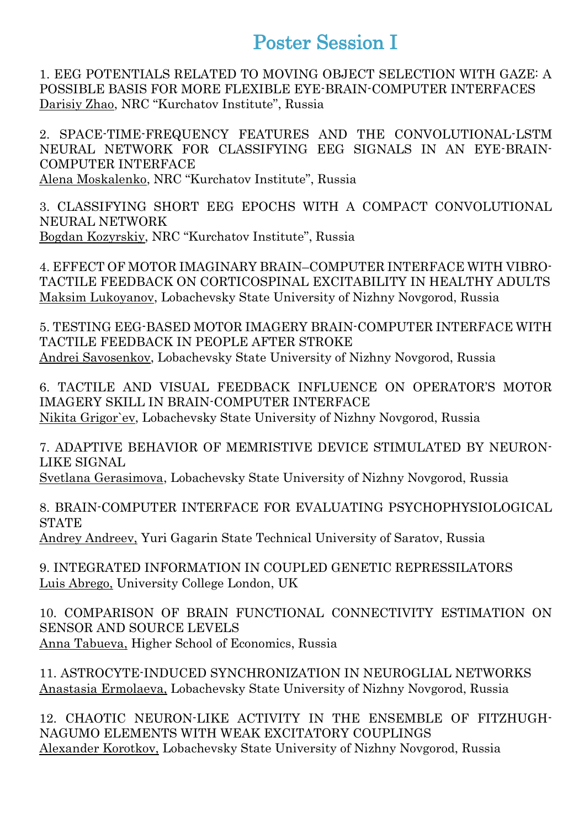### Poster Session I

1. EEG POTENTIALS RELATED TO MOVING OBJECT SELECTION WITH GAZE: A POSSIBLE BASIS FOR MORE FLEXIBLE EYE-BRAIN-COMPUTER INTERFACES Darisiy Zhao, NRC "Kurchatov Institute", Russia

2. SPACE-TIME-FREQUENCY FEATURES AND THE CONVOLUTIONAL-LSTM NEURAL NETWORK FOR CLASSIFYING EEG SIGNALS IN AN EYE-BRAIN-COMPUTER INTERFACE Alena Moskalenko, NRC "Kurchatov Institute", Russia

3. CLASSIFYING SHORT EEG EPOCHS WITH A COMPACT CONVOLUTIONAL NEURAL NETWORK Bogdan Kozyrskiy, NRC "Kurchatov Institute", Russia

4. EFFECT OF MOTOR IMAGINARY BRAIN–COMPUTER INTERFACE WITH VIBRO-TACTILE FEEDBACK ON CORTICOSPINAL EXCITABILITY IN HEALTHY ADULTS Maksim Lukoyanov, Lobachevsky State University of Nizhny Novgorod, Russia

5. TESTING EEG-BASED MOTOR IMAGERY BRAIN-COMPUTER INTERFACE WITH TACTILE FEEDBACK IN PEOPLE AFTER STROKE Andrei Savosenkov, Lobachevsky State University of Nizhny Novgorod, Russia

6. TACTILE AND VISUAL FEEDBACK INFLUENCE ON OPERATOR'S MOTOR IMAGERY SKILL IN BRAIN-COMPUTER INTERFACE Nikita Grigor`ev, Lobachevsky State University of Nizhny Novgorod, Russia

7. ADAPTIVE BEHAVIOR OF MEMRISTIVE DEVICE STIMULATED BY NEURON-LIKE SIGNAL

Svetlana Gerasimova, Lobachevsky State University of Nizhny Novgorod, Russia

8. BRAIN-COMPUTER INTERFACE FOR EVALUATING PSYCHOPHYSIOLOGICAL **STATE** 

Andrey Andreev, Yuri Gagarin State Technical University of Saratov, Russia

9. INTEGRATED INFORMATION IN COUPLED GENETIC REPRESSILATORS Luis Abrego, University College London, UK

10. COMPARISON OF BRAIN FUNCTIONAL CONNECTIVITY ESTIMATION ON SENSOR AND SOURCE LEVELS Anna Tabueva, Higher School of Economics, Russia

11. ASTROCYTE-INDUCED SYNCHRONIZATION IN NEUROGLIAL NETWORKS Anastasia Ermolaeva, Lobachevsky State University of Nizhny Novgorod, Russia

12. CHAOTIC NEURON-LIKE ACTIVITY IN THE ENSEMBLE OF FITZHUGH-NAGUMO ELEMENTS WITH WEAK EXCITATORY COUPLINGS Alexander Korotkov, Lobachevsky State University of Nizhny Novgorod, Russia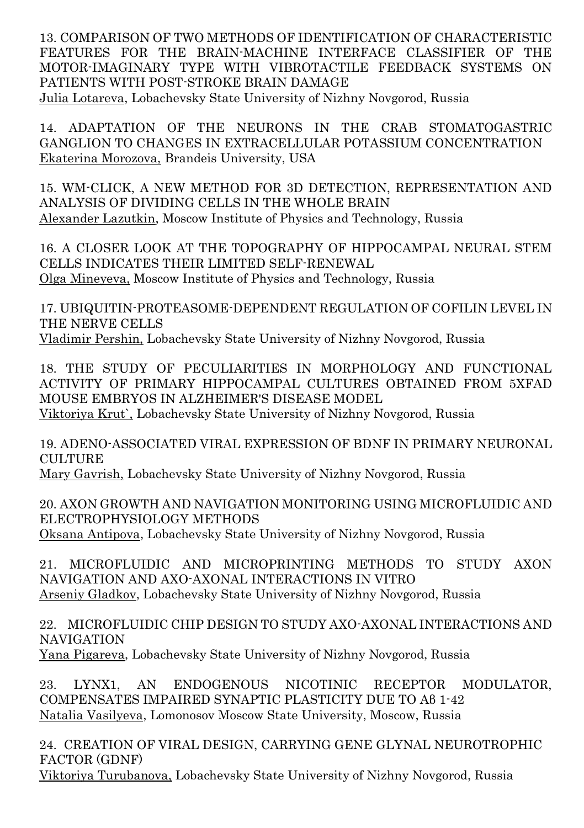13. COMPARISON OF TWO METHODS OF IDENTIFICATION OF CHARACTERISTIC FEATURES FOR THE BRAIN-MACHINE INTERFACE CLASSIFIER OF THE MOTOR-IMAGINARY TYPE WITH VIBROTACTILE FEEDBACK SYSTEMS ON PATIENTS WITH POST-STROKE BRAIN DAMAGE Julia Lotareva, Lobachevsky State University of Nizhny Novgorod, Russia

14. ADAPTATION OF THE NEURONS IN THE CRAB STOMATOGASTRIC GANGLION TO CHANGES IN EXTRACELLULAR POTASSIUM CONCENTRATION Ekaterina Morozova, Brandeis University, USA

15. WM-CLICK, A NEW METHOD FOR 3D DETECTION, REPRESENTATION AND ANALYSIS OF DIVIDING CELLS IN THE WHOLE BRAIN Alexander Lazutkin, Moscow Institute of Physics and Technology, Russia

16. A CLOSER LOOK AT THE TOPOGRAPHY OF HIPPOCAMPAL NEURAL STEM CELLS INDICATES THEIR LIMITED SELF-RENEWAL Olga Mineyeva, Moscow Institute of Physics and Technology, Russia

17. UBIQUITIN-PROTEASOME-DEPENDENT REGULATION OF COFILIN LEVEL IN THE NERVE CELLS Vladimir Pershin, Lobachevsky State University of Nizhny Novgorod, Russia

18. THE STUDY OF PECULIARITIES IN MORPHOLOGY AND FUNCTIONAL ACTIVITY OF PRIMARY HIPPOCAMPAL CULTURES OBTAINED FROM 5XFAD MOUSE EMBRYOS IN ALZHEIMER'S DISEASE MODEL Viktoriya Krut`, Lobachevsky State University of Nizhny Novgorod, Russia

19. АDENO-ASSOCIATED VIRAL EXPRESSION OF BDNF IN PRIMARY NEURONAL CULTURE.

Mary Gavrish, Lobachevsky State University of Nizhny Novgorod, Russia

20. AXON GROWTH AND NAVIGATION MONITORING USING MICROFLUIDIC AND ELECTROPHYSIOLOGY METHODS Oksana Antipova, Lobachevsky State University of Nizhny Novgorod, Russia

21. MICROFLUIDIC AND MICROPRINTING METHODS TO STUDY AXON NAVIGATION AND AXO-AXONAL INTERACTIONS IN VITRO Arseniy Gladkov, Lobachevsky State University of Nizhny Novgorod, Russia

22. MICROFLUIDIC CHIP DESIGN TO STUDY AXO-AXONAL INTERACTIONS AND NAVIGATION Yana Pigareva, Lobachevsky State University of Nizhny Novgorod, Russia

23. LYNX1, AN ENDOGENOUS NICOTINIC RECEPTOR MODULATOR, COMPENSATES IMPAIRED SYNAPTIC PLASTICITY DUE TO Aβ 1-42 Natalia Vasilyeva, Lomonosov Moscow State University, Moscow, Russia

24. CREATION OF VIRAL DESIGN, CARRYING GENE GLYNAL NEUROTROPHIC FACTOR (GDNF) Viktoriya Turubanova, Lobachevsky State University of Nizhny Novgorod, Russia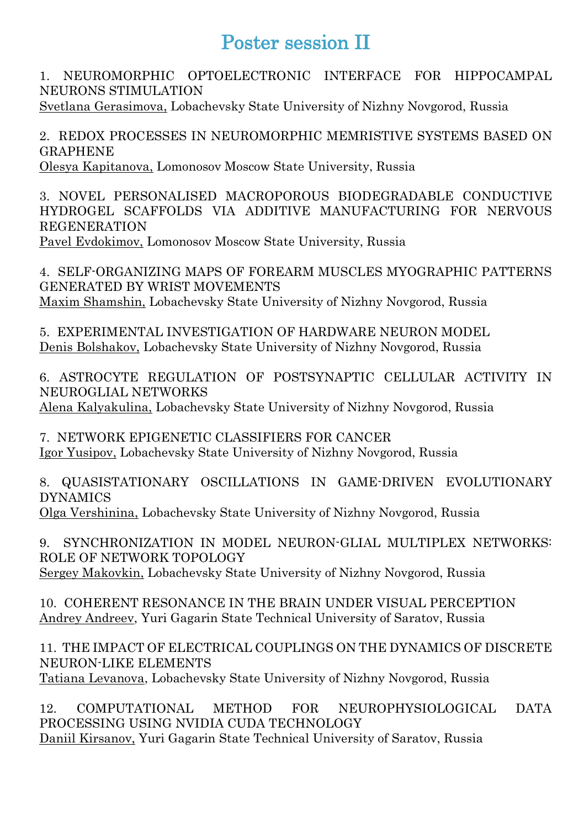### Poster session II

1. NEUROMORPHIC OPTOELECTRONIC INTERFACE FOR HIPPOCAMPAL NEURONS STIMULATION

Svetlana Gerasimova, Lobachevsky State University of Nizhny Novgorod, Russia

2. REDOX PROCESSES IN NEUROMORPHIC MEMRISTIVE SYSTEMS BASED ON GRAPHENE

Olesya Kapitanova, Lomonosov Moscow State University, Russia

3. NOVEL PERSONALISED MACROPOROUS BIODEGRADABLE CONDUCTIVE HYDROGEL SCAFFOLDS VIA ADDITIVE MANUFACTURING FOR NERVOUS REGENERATION Pavel Evdokimov, Lomonosov Moscow State University, Russia

4. SELF-ORGANIZING MAPS OF FOREARM MUSCLES MYOGRAPHIC PATTERNS GENERATED BY WRIST MOVEMENTS Maxim Shamshin, Lobachevsky State University of Nizhny Novgorod, Russia

5. EXPERIMENTAL INVESTIGATION OF HARDWARE NEURON MODEL Denis Bolshakov, Lobachevsky State University of Nizhny Novgorod, Russia

6. ASTROCYTE REGULATION OF POSTSYNAPTIC CELLULAR ACTIVITY IN NEUROGLIAL NETWORKS

Alena Kalyakulina, Lobachevsky State University of Nizhny Novgorod, Russia

7. NETWORK EPIGENETIC CLASSIFIERS FOR CANCER Igor Yusipov, Lobachevsky State University of Nizhny Novgorod, Russia

8. QUASISTATIONARY OSCILLATIONS IN GAME-DRIVEN EVOLUTIONARY DYNAMICS

Olga Vershinina, Lobachevsky State University of Nizhny Novgorod, Russia

9. SYNCHRONIZATION IN MODEL NEURON-GLIAL MULTIPLEX NETWORKS: ROLE OF NETWORK TOPOLOGY Sergey Makovkin, Lobachevsky State University of Nizhny Novgorod, Russia

10. COHERENT RESONANCE IN THE BRAIN UNDER VISUAL PERCEPTION Andrey Andreev, Yuri Gagarin State Technical University of Saratov, Russia

11. THE IMPACT OF ELECTRICAL COUPLINGS ON THE DYNAMICS OF DISCRETE NEURON-LIKE ELEMENTS Тatiana Levanova, Lobachevsky State University of Nizhny Novgorod, Russia

12. COMPUTATIONAL METHOD FOR NEUROPHYSIOLOGICAL DATA PROCESSING USING NVIDIA CUDA TECHNOLOGY Daniil Kirsanov, Yuri Gagarin State Technical University of Saratov, Russia